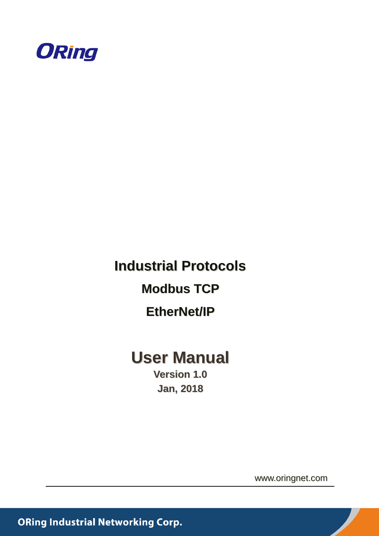

# **Industrial Protocols Modbus TCP EtherNet/IP**

# **User Manual**

**Version 1.0 Jan, 2018**

www.oringnet.com

**ORing Industrial Networking Corp.**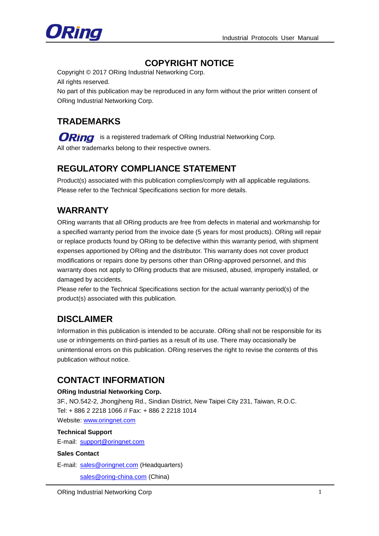

### **COPYRIGHT NOTICE**

Copyright © 2017 ORing Industrial Networking Corp. All rights reserved.

No part of this publication may be reproduced in any form without the prior written consent of ORing Industrial Networking Corp.

### **TRADEMARKS**

ORing is a registered trademark of ORing Industrial Networking Corp. All other trademarks belong to their respective owners.

### **REGULATORY COMPLIANCE STATEMENT**

Product(s) associated with this publication complies/comply with all applicable regulations. Please refer to the Technical Specifications section for more details.

### **WARRANTY**

ORing warrants that all ORing products are free from defects in material and workmanship for a specified warranty period from the invoice date (5 years for most products). ORing will repair or replace products found by ORing to be defective within this warranty period, with shipment expenses apportioned by ORing and the distributor. This warranty does not cover product modifications or repairs done by persons other than ORing-approved personnel, and this warranty does not apply to ORing products that are misused, abused, improperly installed, or damaged by accidents.

Please refer to the Technical Specifications section for the actual warranty period(s) of the product(s) associated with this publication.

### **DISCLAIMER**

Information in this publication is intended to be accurate. ORing shall not be responsible for its use or infringements on third-parties as a result of its use. There may occasionally be unintentional errors on this publication. ORing reserves the right to revise the contents of this publication without notice.

### **CONTACT INFORMATION**

#### **ORing Industrial Networking Corp.**

3F., NO.542-2, Jhongjheng Rd., Sindian District, New Taipei City 231, Taiwan, R.O.C. Tel: + 886 2 2218 1066 // Fax: + 886 2 2218 1014 Website: [www.oringnet.com](http://www.oringnet.com/)

#### **Technical Support**

E-mail: [support@oringnet.com](mailto:support@oringnet.com)

#### **Sales Contact**

E-mail: [sales@oringnet.com](file:///C:/Users/yinchang/AppData/Local/Microsoft/Windows/INetCache/Content.Outlook/LS464FFT/sales@oringnet.com) (Headquarters)

[sales@oring-china.com](file:///C:/Users/yinchang/AppData/Local/Microsoft/Windows/INetCache/Content.Outlook/LS464FFT/sales@oring-china.com) (China)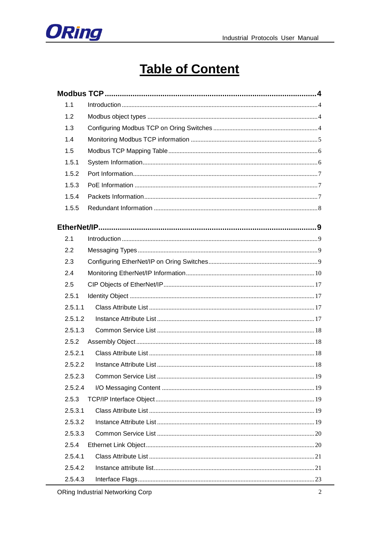

# **Table of Content**

| 1.1     |  |
|---------|--|
| 1.2     |  |
| 1.3     |  |
| 1.4     |  |
| 1.5     |  |
| 1.5.1   |  |
| 1.5.2   |  |
| 1.5.3   |  |
| 1.5.4   |  |
| 1.5.5   |  |
|         |  |
| 2.1     |  |
| 2.2     |  |
| 2.3     |  |
| 2.4     |  |
| 2.5     |  |
| 2.5.1   |  |
| 2.5.1.1 |  |
| 2.5.1.2 |  |
| 2.5.1.3 |  |
| 2.5.2   |  |
| 2.5.2.1 |  |
| 2.5.2.2 |  |
| 2.5.2.3 |  |
| 2.5.2.4 |  |
| 2.5.3   |  |
| 2.5.3.1 |  |
| 2.5.3.2 |  |
| 2.5.3.3 |  |
| 2.5.4   |  |
| 2.5.4.1 |  |
| 2.5.4.2 |  |
| 2.5.4.3 |  |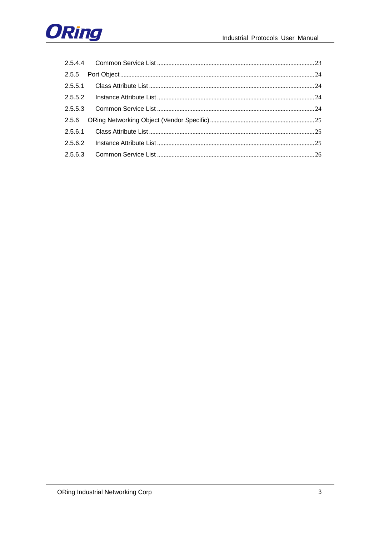

| 2.5.5.1 |  |
|---------|--|
| 2.5.5.2 |  |
| 2.5.5.3 |  |
| 2.5.6   |  |
| 2.5.6.1 |  |
| 2.5.6.2 |  |
| 2.5.6.3 |  |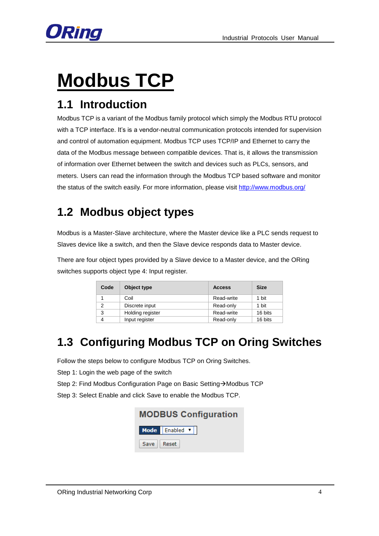

# <span id="page-4-0"></span>**Modbus TCP**

# <span id="page-4-1"></span>**1.1 Introduction**

Modbus TCP is a variant of the Modbus family protocol which simply the Modbus RTU protocol with a TCP interface. It's is a vendor-neutral communication protocols intended for supervision and control of automation equipment. Modbus TCP uses TCP/IP and Ethernet to carry the data of the Modbus message between compatible devices. That is, it allows the transmission of information over Ethernet between the switch and devices such as PLCs, sensors, and meters. Users can read the information through the Modbus TCP based software and monitor the status of the switch easily. For more information, please visit<http://www.modbus.org/>

# <span id="page-4-2"></span>**1.2 Modbus object types**

Modbus is a Master-Slave architecture, where the Master device like a PLC sends request to Slaves device like a switch, and then the Slave device responds data to Master device.

There are four object types provided by a Slave device to a Master device, and the ORing switches supports object type 4: Input register.

| Code | Object type      | <b>Access</b> | <b>Size</b> |
|------|------------------|---------------|-------------|
|      | Coil             | Read-write    | 1 bit       |
| っ    | Discrete input   | Read-only     | 1 bit       |
| 3    | Holding register | Read-write    | 16 bits     |
|      | Input register   | Read-only     | 16 bits     |

# <span id="page-4-3"></span>**1.3 Configuring Modbus TCP on Oring Switches**

Follow the steps below to configure Modbus TCP on Oring Switches.

Step 1: Login the web page of the switch

Step 2: Find Modbus Configuration Page on Basic Setting > Modbus TCP

Step 3: Select Enable and click Save to enable the Modbus TCP.

| <b>MODBUS Configuration</b> |                |  |  |  |  |
|-----------------------------|----------------|--|--|--|--|
|                             | Mode Enabled v |  |  |  |  |
| Save   Reset                |                |  |  |  |  |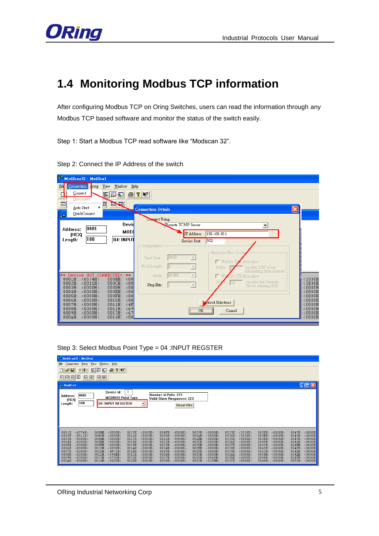

# <span id="page-5-0"></span>**1.4 Monitoring Modbus TCP information**

After configuring Modbus TCP on Oring Switches, users can read the information through any Modbus TCP based software and monitor the status of the switch easily.

Step 1: Start a Modbus TCP read software like "Modscan 32".

| ModScan32 - ModScal                                                     |                                                                                                          |                  |
|-------------------------------------------------------------------------|----------------------------------------------------------------------------------------------------------|------------------|
| Connection fetup<br>Fil<br>View<br>Window<br>Help                       |                                                                                                          |                  |
| Connect<br>◘<br>$\trianglelefteq$<br>医尿可                                | P                                                                                                        |                  |
| Disconnect<br>画<br><b>EARE</b><br>₫                                     |                                                                                                          |                  |
| ×.<br>Auto-Start                                                        | $\vert\mathsf{x}\vert$<br><b>Connection Details</b>                                                      |                  |
| QuickConnect<br>$\blacksquare$                                          | Compect Using:                                                                                           |                  |
| Devid                                                                   | Remote TCP/IP Server<br>$\blacktriangledown$                                                             |                  |
| 0001<br>Address:<br>MODI<br><b>IHEXI</b>                                | IP Address:<br>192.168.10.1                                                                              |                  |
| 100<br>04: INPUT<br>Length:                                             | 502<br>Service Port:                                                                                     |                  |
|                                                                         | Configuration                                                                                            |                  |
|                                                                         | -Hardware Flow Conto<br>9600                                                                             |                  |
|                                                                         | $\overline{\mathbf v}$<br>Baud Rate:<br>□ Wait for D2R from slave                                        |                  |
|                                                                         | $\overline{\nabla}$<br>Word Length:<br>8<br>Delay<br>ms after RTS before<br>transmitting first character |                  |
| Device NOT CONNECTED!<br>⊭¥<br>$**$<br><0.0<br>0001H: < 6574H<br>000BH: | <b>NONE</b><br>$\vert \nabla \vert$<br>We for CTS from slave<br>Parity<br>г                              | $3330H$          |
| 000CH:<br><0.0<br><0011H<br>0002H:                                      | ms after last character<br>10<br>$\overline{\nabla}$<br>Stop Bits:<br>before releasing RTS               | $3830H$          |
| 000DH:<br><0000H<br><00<br>0003H:<br>0004H:<br><0000H<br>000EH:<br><00  |                                                                                                          | <0000H<br><0000H |
| 0005H: < 0000H<br>000FH:<br><00<br>0010H:<br>0006H: < 0000H<br><00      |                                                                                                          | <0000H<br><0000H |
| 0007H: < 0000H<br>$0011H$ :<br>$\angle$ 4F<br><0000H<br>0012H:          | otocol Selections                                                                                        | <0000H           |
| < 69<br>0008H:<br><0000H<br>$0013H$ :<br>0009H:<br>< 67                 | OK<br>Cancel                                                                                             | <0000H<br><0000H |
| 0014H: < 00<br>000AH:<br><0000H                                         |                                                                                                          | <0000H           |

Step 2: Connect the IP Address of the switch

Step 3: Select Modbus Point Type = 04 :INPUT REGSTER

| ModScan32 - ModSca1                                                                                                                                                                                                                                                                                                                                                                 |                                                                                                                                                                                                                                                                                                                                                                    |                                                                                                                                                                                                                                                                                                                                                                  |                                                                                                                                                                                                                                                                                                                                                                                                          |
|-------------------------------------------------------------------------------------------------------------------------------------------------------------------------------------------------------------------------------------------------------------------------------------------------------------------------------------------------------------------------------------|--------------------------------------------------------------------------------------------------------------------------------------------------------------------------------------------------------------------------------------------------------------------------------------------------------------------------------------------------------------------|------------------------------------------------------------------------------------------------------------------------------------------------------------------------------------------------------------------------------------------------------------------------------------------------------------------------------------------------------------------|----------------------------------------------------------------------------------------------------------------------------------------------------------------------------------------------------------------------------------------------------------------------------------------------------------------------------------------------------------------------------------------------------------|
| File Connection Setup Yiew<br>Window<br>Help                                                                                                                                                                                                                                                                                                                                        |                                                                                                                                                                                                                                                                                                                                                                    |                                                                                                                                                                                                                                                                                                                                                                  |                                                                                                                                                                                                                                                                                                                                                                                                          |
| $\begin{array}{c} \text{D} \hat{\mathbf{z}} \text{E} \end{array}$<br>医圆列<br>$\bigoplus$<br>$\frac{1}{2}$   $\frac{1}{2}$<br>$= 1.54$                                                                                                                                                                                                                                                |                                                                                                                                                                                                                                                                                                                                                                    |                                                                                                                                                                                                                                                                                                                                                                  |                                                                                                                                                                                                                                                                                                                                                                                                          |
| 网网网网<br><b>图图图图</b>                                                                                                                                                                                                                                                                                                                                                                 |                                                                                                                                                                                                                                                                                                                                                                    |                                                                                                                                                                                                                                                                                                                                                                  |                                                                                                                                                                                                                                                                                                                                                                                                          |
| $-$ ModScal                                                                                                                                                                                                                                                                                                                                                                         |                                                                                                                                                                                                                                                                                                                                                                    |                                                                                                                                                                                                                                                                                                                                                                  | $\Box$ o $\times$                                                                                                                                                                                                                                                                                                                                                                                        |
| Device Id:<br>0001<br>Address:<br><b>MODBUS Point Type</b><br>(HEX)<br>100<br>04: INPUT REGISTER<br>Length:                                                                                                                                                                                                                                                                         | 1<br>Number of Polls: 223<br>Valid Slave Responses: 223<br><b>Reset Ctrs</b>                                                                                                                                                                                                                                                                                       |                                                                                                                                                                                                                                                                                                                                                                  |                                                                                                                                                                                                                                                                                                                                                                                                          |
| 0001H: <6574H<br>000BH: < 0000H<br>0002H: < 0011H<br>000CH: < 0000H<br>0003H: < 0000H<br>000DH:<br>$\langle 0000H \rangle$<br>0004H: < 0000H<br>000EH: <0000H<br>0005H: < 0000H<br>000FH: < 0000H<br>0006H: < 0000H<br>0010H: < 0000H<br>0007H: < 0000H<br>0011H: <4F72H><br>0008H: < 0000H<br>0012H: <696EH<br>0009H: < 0000H<br>0013H: <6700H<br>000AH: < 0000H<br>0014H: < 0000H | 0015H: < 0000H<br>001FH: < 0000H<br>0016H: < 0000H<br>0020H: < 0000H<br>0017H: < 0000H<br>0021H: < 0000H<br>0018H: < 0000H<br>0022H: < 0000H<br>0019H: < 0000H<br>0023H: < 0000H<br>001AH: <0000H><br>0024H: < 0000H<br>0025H: <0000H<br>001BH: < 0000H<br>001CH: < 0000H<br>0026H: < 0000H<br>001DH: < 0000H<br>0027H: < 0000H<br>001EH: <0000H<br>0028H: < 0000H | 0029H: <0000H<br>0033H: < 3330H<br>002AH: < 0000H<br>0034H: < 3830H<br>002BH: < 0000H<br>0035H: < 0000H<br>0036H: < 0000H<br>002CH: < 0000H<br>0037H: < 0000H<br>002DH: < 0000H<br>002EH: < 0000H<br>0038H: < 0000H<br>002FH: <0000H><br>0039H: <0000H<br>003AH: < 0000H<br>0030H: <0000H<br>003BH: < 0000H<br>0031H: < 4945H<br>0032H: <532DH<br>003CH: < 0000H | 003DH: < 0000H<br>0047H: < 0000H<br>003EH:<br>$\langle 0000H \rangle$<br>0048H: < 0000H<br>0049H: < 0000H<br>003FH: < 0000H<br>004AH: < 0000H<br>0040H:<br>$\langle 0000H \rangle$<br>004BH: < 0000H<br>0041H: < 0000H<br>0042H: < 0000H<br>004CH: <0000H<br>0043H: < 0000H<br>004DH: < 0000H<br>0044H: < 0000H<br>004EH: < 0000H<br>0045H: <0000H<br>004FH: < 0000H<br>0046H: < 0000H<br>0050H: < 0000H |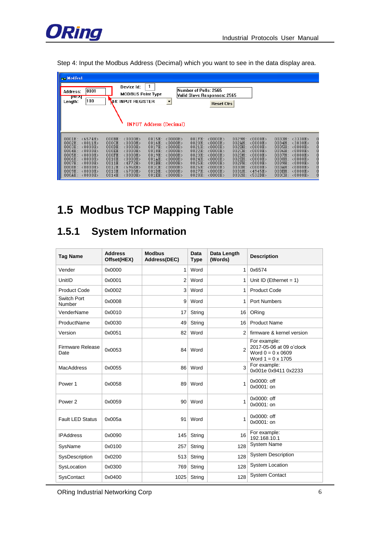

Step 4: Input the Modbus Address (Decimal) which you want to see in the data display area.

| $-$ ModScal                                                                                                                                                                    |                                                                                                                                                                                                                                                                                                    |                                                                                                                                            |                                                                                                                                                                                                                                                                                                            |                                                                                                                                                                                                                                                                               |                                                                                                                                                                                                                                                                                                                                                                                                                                                             |
|--------------------------------------------------------------------------------------------------------------------------------------------------------------------------------|----------------------------------------------------------------------------------------------------------------------------------------------------------------------------------------------------------------------------------------------------------------------------------------------------|--------------------------------------------------------------------------------------------------------------------------------------------|------------------------------------------------------------------------------------------------------------------------------------------------------------------------------------------------------------------------------------------------------------------------------------------------------------|-------------------------------------------------------------------------------------------------------------------------------------------------------------------------------------------------------------------------------------------------------------------------------|-------------------------------------------------------------------------------------------------------------------------------------------------------------------------------------------------------------------------------------------------------------------------------------------------------------------------------------------------------------------------------------------------------------------------------------------------------------|
| 0001<br><b>Address:</b><br><b>THEXI</b><br>100<br>Length:                                                                                                                      | Device Id:<br><b>MODBUS Point Type</b><br>04: INPUT REGISTER                                                                                                                                                                                                                                       | 1<br><b>INPUT Address (Decimal)</b>                                                                                                        | Number of Polls: 2565<br>Valid Slave Responses: 2565 <br><b>Reset Ctrs</b>                                                                                                                                                                                                                                 |                                                                                                                                                                                                                                                                               |                                                                                                                                                                                                                                                                                                                                                                                                                                                             |
| 0001H: <6574H<br>0002H: <0011H<br>0003H: < 0000H<br>0004H: < 0000H<br>0005H: < 0000H<br>0006H: <0000H<br>0007H: < 0000H<br>0008H: < 0000H<br><0000H<br>0009H:<br>000AH: <0000H | 000BH: <0000H<br>000CH:<br><0000H<br><0000H<br>000DH:<br><0000H<br>000EH:<br>$0.00$ FH $\cdot$<br>$\langle$ <code>nnnH</code> $\rangle$<br>0010H:<br>$\langle$ 0000H $\rangle$<br>0011H:<br>$\langle 4F72H \rangle$<br>0012H:<br>$<$ 696EH><br>$\langle 6700H \rangle$<br>0013H:<br>0014H: < 0000H | $0015H: 0000H0016H:<0000H<0000H0017H:<0000H0018H:0019H+∠NNNUN ><0000H001AH:001BH:<0000H001CH:\langle0000H\rangle001DH:<0000H001EH: <0000H$ | $\langle$ 0000H $\rangle$<br>$001FH$ :<br>0020H:<br><0000H<br><0000H<br>0021H:<br><0000H<br>0022H:<br>0023H <sub>1</sub><br>$\langle$ <code>nnnH</code> $\rangle$<br>0024H:<br>$\langle$ 0000H $\rangle$<br>0025H:<br>$\langle$ 0000H><br>0026H:<br>$\langle$ 0000H><br>0027H:<br><0000H<br>0028H: < 0000H | 0029H: < 0000H<br>002AH:<br><0000H<br>002BH:<br><0000H<br>002CH:<br><0000H<br>002DH:<br>$\langle$ <code>nnnH</code> $\rangle$<br>002EH:<br><0000H<br>002FH:<br>$\langle$ 0000H><br>0030H:<br>$\langle$ 0000H $\rangle$<br>0031H:<br>$\langle 4945H \rangle$<br>0032H: <532DH> | 0033H: < 3330H<br>0<br>$\overline{0}$<br>0034H:<br>$\langle$ 3830H $\rangle$<br>$\begin{smallmatrix}0\0\0\end{smallmatrix}$<br>0035H:<br>$\langle$ 0000H $\rangle$<br><0000H<br>0036H:<br>o<br>0037H <sub>1</sub><br>∢NNNUN∑<br>$\begin{smallmatrix}0\0\0\end{smallmatrix}$<br>0038H:<br><0000H<br>0039H:<br>$\langle$ 0000H $\rangle$<br>ō<br>0<br>003AH:<br>$\langle$ 0000H $\rangle$<br>003BH:<br><0000H<br>$\overline{0}$<br>003CH:<br>$\langle$ 0000H> |

# <span id="page-6-0"></span>**1.5 Modbus TCP Mapping Table**

# <span id="page-6-1"></span>**1.5.1 System Information**

| <b>Tag Name</b>                 | <b>Address</b><br>Offset(HEX) | <b>Modbus</b><br>Address(DEC) | Data<br><b>Type</b> | Data Length<br>(Words) | <b>Description</b>                                                                               |
|---------------------------------|-------------------------------|-------------------------------|---------------------|------------------------|--------------------------------------------------------------------------------------------------|
| Vender                          | 0x0000                        | 1                             | Word                | $\mathbf{1}$           | 0x6574                                                                                           |
| UnitID                          | 0x0001                        | $\overline{2}$                | Word                | 1                      | Unit ID (Ethernet $= 1$ )                                                                        |
| <b>Product Code</b>             | 0x0002                        | 3                             | Word                | 1                      | <b>Product Code</b>                                                                              |
| Switch Port<br>Number           | 0x0008                        | 9                             | Word                | 1                      | <b>Port Numbers</b>                                                                              |
| VenderName                      | 0x0010                        | 17                            | String              | 16                     | ORing                                                                                            |
| ProductName                     | 0x0030                        | 49                            | String              | 16                     | <b>Product Name</b>                                                                              |
| Version                         | 0x0051                        | 82                            | Word                | $\overline{2}$         | firmware & kernel version                                                                        |
| <b>Firmware Release</b><br>Date | 0x0053                        | 84                            | Word                | $\overline{2}$         | For example:<br>2017-05-06 at 09 o'clock<br>Word $0 = 0 \times 0609$<br>Word $1 = 0 \times 1705$ |
| <b>MacAddress</b>               | 0x0055                        | 86                            | Word                | 3                      | For example:<br>0x001e 0x9411 0x2233                                                             |
| Power 1                         | 0x0058                        | 89                            | Word                | 1                      | 0x0000: off<br>$0x0001:$ on                                                                      |
| Power <sub>2</sub>              | 0x0059                        | 90 <sup>1</sup>               | Word                | 1                      | 0x0000: off<br>0x0001: on                                                                        |
| <b>Fault LED Status</b>         | 0x005a                        | 91                            | Word                | 1                      | 0x0000: off<br>0x0001: on                                                                        |
| <b>IPAddress</b>                | 0x0090                        | 145                           | String              | 16                     | For example:<br>192.168.10.1                                                                     |
| SysName                         | 0x0100                        | 257                           | String              | 128                    | <b>System Name</b>                                                                               |
| SysDescription                  | 0x0200                        | 513                           | String              | 128                    | <b>System Description</b>                                                                        |
| SysLocation                     | 0x0300                        | 769                           | String              | 128                    | System Location                                                                                  |
| SysContact                      | 0x0400                        | 1025                          | String              | 128                    | <b>System Contact</b>                                                                            |

ORing Industrial Networking Corp 66 and 200 minutes of 66 and 200 minutes of 66 and 200 minutes of 66 and 200 minutes of 66 and 200 minutes of 66 and 200 minutes of 66 and 200 minutes of 66 and 200 minutes of 66 and 200 mi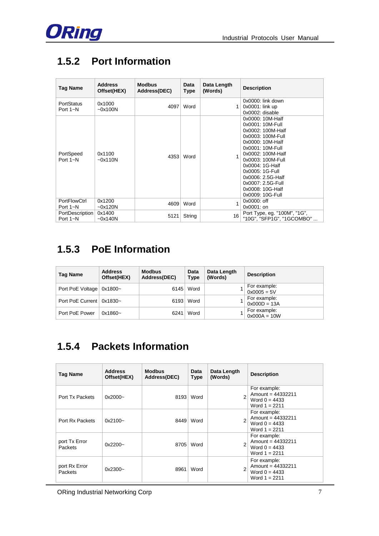

# <span id="page-7-0"></span>**1.5.2 Port Information**

| <b>Tag Name</b>                 | <b>Address</b><br>Offset(HEX) | <b>Modbus</b><br>Address(DEC) | <b>Data</b><br><b>Type</b> | Data Length<br>(Words) | <b>Description</b>                                                                                                                                                                                                                                                                       |
|---------------------------------|-------------------------------|-------------------------------|----------------------------|------------------------|------------------------------------------------------------------------------------------------------------------------------------------------------------------------------------------------------------------------------------------------------------------------------------------|
| PortStatus<br>Port $1 - N$      | 0x1000<br>~100N               | 4097                          | Word                       | 1                      | $0x0000$ : link down<br>$0x0001$ : link up<br>0x0002: disable                                                                                                                                                                                                                            |
| PortSpeed<br>Port $1 - N$       | 0x1100<br>$-0x110N$           | 4353                          | Word                       |                        | 0x0000: 10M-Half<br>0x0001: 10M-Full<br>0x0002: 100M-Half<br>0x0003: 100M-Full<br>0x0000: 10M-Half<br>0x0001: 10M-Full<br>0x0002: 100M-Half<br>0x0003: 100M-Full<br>0x0004: 1G-Half<br>0x0005: 1G-Full<br>0x0006: 2.5G-Half<br>0x0007: 2.5G-Full<br>0x0008: 10G-Half<br>0x0009: 10G-Full |
| <b>PortFlowCtrl</b><br>Port 1~N | 0x1200<br>~50x120N            | 4609                          | Word                       | 1                      | 0x0000: off<br>0x0001: on                                                                                                                                                                                                                                                                |
| PortDescription<br>Port $1 - N$ | 0x1400<br>~50x140N            | 5121                          | String                     | 16                     | Port Type, eg. "100M", "1G",<br>"10G", "SFP1G", "1GCOMBO"                                                                                                                                                                                                                                |

# <span id="page-7-1"></span>**1.5.3 PoE Information**

| Tag Name                   | <b>Address</b><br>Offset(HEX) | <b>Modbus</b><br>Address(DEC) | Data<br><b>Type</b> | Data Length<br>(Words) | <b>Description</b>             |
|----------------------------|-------------------------------|-------------------------------|---------------------|------------------------|--------------------------------|
| Port PoE Voltage           | 0x1800~                       | 6145                          | Word                |                        | For example:<br>$0x0005 = 5V$  |
| Port PoE Current   0x1830~ |                               | 6193                          | Word                |                        | For example:<br>$0x000D = 13A$ |
| Port PoE Power             | $0x1860 -$                    | 6241                          | Word                |                        | For example:<br>$0x000A = 10W$ |

# <span id="page-7-2"></span>**1.5.4 Packets Information**

| <b>Tag Name</b>          | <b>Address</b><br>Offset(HEX) | <b>Modbus</b><br>Address(DEC) | Data<br><b>Type</b> | Data Length<br>(Words) | <b>Description</b>                                                        |
|--------------------------|-------------------------------|-------------------------------|---------------------|------------------------|---------------------------------------------------------------------------|
| Port Tx Packets          | $0x2000 -$                    | 8193                          | Word                |                        | For example:<br>Amount = $44332211$<br>Word $0 = 4433$<br>Word $1 = 2211$ |
| Port Rx Packets          | $0x2100 -$                    | 8449                          | Word                |                        | For example:<br>Amount = 44332211<br>Word $0 = 4433$<br>Word $1 = 2211$   |
| port Tx Error<br>Packets | $0x2200 -$                    | 8705                          | Word                |                        | For example:<br>Amount = $44332211$<br>Word $0 = 4433$<br>Word $1 = 2211$ |
| port Rx Error<br>Packets | 0x2300~                       | 8961                          | Word                |                        | For example:<br>Amount = 44332211<br>Word $0 = 4433$<br>Word $1 = 2211$   |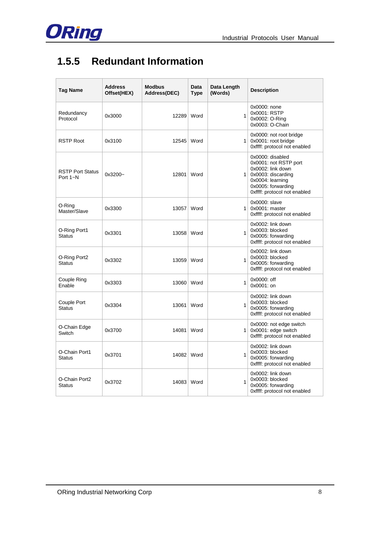

# <span id="page-8-0"></span>**1.5.5 Redundant Information**

| Tag Name                                | <b>Address</b><br>Offset(HEX) | <b>Modbus</b><br>Address(DEC) | Data<br><b>Type</b> | Data Length<br>(Words) | <b>Description</b>                                                                                                                                                 |
|-----------------------------------------|-------------------------------|-------------------------------|---------------------|------------------------|--------------------------------------------------------------------------------------------------------------------------------------------------------------------|
| Redundancy<br>Protocol                  | 0x3000                        | 12289                         | Word                | $\mathbf{1}$           | 0x0000: none<br>0x0001: RSTP<br>0x0002: O-Ring<br>0x0003: O-Chain                                                                                                  |
| <b>RSTP Root</b>                        | 0x3100                        | 12545 Word                    |                     |                        | 0x0000: not root bridge<br>$1$ 0x0001: root bridge<br>0xffff: protocol not enabled                                                                                 |
| <b>RSTP Port Status</b><br>Port $1 - N$ | 0x3200~                       | 12801                         | Word                |                        | 0x0000: disabled<br>0x0001: not RSTP port<br>0x0002: link down<br>$1$ 0x0003: discarding<br>0x0004: learning<br>0x0005: forwarding<br>0xffff: protocol not enabled |
| O-Ring<br>Master/Slave                  | 0x3300                        | 13057                         | Word                | $\mathbf{1}$           | 0x0000: slave<br>$0x0001$ : master<br>Oxffff: protocol not enabled                                                                                                 |
| O-Ring Port1<br><b>Status</b>           | 0x3301                        | 13058 Word                    |                     | 1                      | 0x0002: link down<br>0x0003: blocked<br>0x0005: forwarding<br>0xffff: protocol not enabled                                                                         |
| O-Ring Port2<br><b>Status</b>           | 0x3302                        | 13059                         | Word                | $\mathbf{1}$           | 0x0002: link down<br>0x0003: blocked<br>0x0005: forwarding<br>0xffff: protocol not enabled                                                                         |
| Couple Ring<br>Enable                   | 0x3303                        | 13060                         | Word                | 1                      | 0x0000: off<br>0x0001: on                                                                                                                                          |
| Couple Port<br><b>Status</b>            | 0x3304                        | 13061                         | Word                | 1                      | 0x0002: link down<br>0x0003: blocked<br>0x0005: forwarding<br>0xffff: protocol not enabled                                                                         |
| O-Chain Edge<br>Switch                  | 0x3700                        | 14081                         | Word                | 1                      | 0x0000: not edge switch<br>0x0001: edge switch<br>0xffff: protocol not enabled                                                                                     |
| O-Chain Port1<br><b>Status</b>          | 0x3701                        | 14082 Word                    |                     | $\mathbf{1}$           | 0x0002: link down<br>0x0003: blocked<br>0x0005: forwarding<br>0xffff: protocol not enabled                                                                         |
| O-Chain Port2<br><b>Status</b>          | 0x3702                        | 14083 Word                    |                     | 1                      | 0x0002: link down<br>0x0003: blocked<br>0x0005: forwarding<br>0xffff: protocol not enabled                                                                         |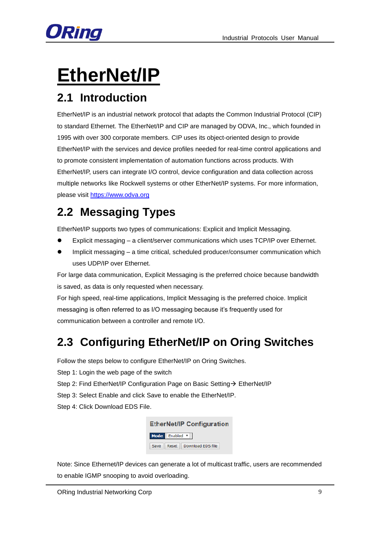

# <span id="page-9-0"></span>**EtherNet/IP**

# <span id="page-9-1"></span>**2.1 Introduction**

EtherNet/IP is an industrial network protocol that adapts the Common Industrial Protocol (CIP) to standard Ethernet. The EtherNet/IP and CIP are managed by ODVA, Inc., which founded in 1995 with over 300 corporate members. CIP uses its object-oriented design to provide EtherNet/IP with the services and device profiles needed for real-time control applications and to promote consistent implementation of automation functions across products. With EtherNet/IP, users can integrate I/O control, device configuration and data collection across multiple networks like Rockwell systems or other EtherNet/IP systems. For more information, please visit [https://www.odva.org](https://www.odva.org/)

# <span id="page-9-2"></span>**2.2 Messaging Types**

EtherNet/IP supports two types of communications: Explicit and Implicit Messaging.

- Explicit messaging a client/server communications which uses TCP/IP over Ethernet.
- Implicit messaging a time critical, scheduled producer/consumer communication which uses UDP/IP over Ethernet.

For large data communication, Explicit Messaging is the preferred choice because bandwidth is saved, as data is only requested when necessary.

For high speed, real-time applications, Implicit Messaging is the preferred choice. Implicit messaging is often referred to as I/O messaging because it's frequently used for communication between a controller and remote I/O.

# <span id="page-9-3"></span>**2.3 Configuring EtherNet/IP on Oring Switches**

Follow the steps below to configure EtherNet/IP on Oring Switches.

Step 1: Login the web page of the switch

Step 2: Find EtherNet/IP Configuration Page on Basic Setting → EtherNet/IP

- Step 3: Select Enable and click Save to enable the EtherNet/IP.
- Step 4: Click Download EDS File.

**EtherNet/IP Configuration** Mode Enabled v Save | Reset | Download EDS file

Note: Since Ethernet/IP devices can generate a lot of multicast traffic, users are recommended to enable IGMP snooping to avoid overloading.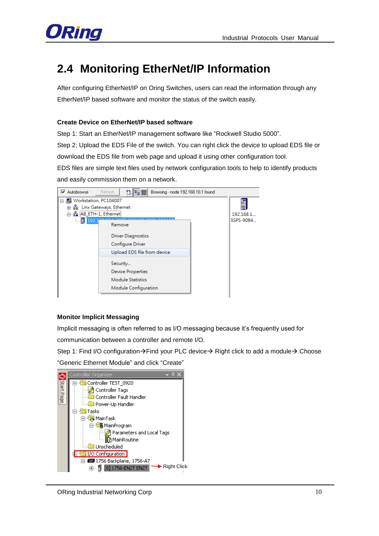

# <span id="page-10-0"></span>**2.4 Monitoring EtherNet/IP Information**

After configuring EtherNet/IP on Oring Switches, users can read the information through any EtherNet/IP based software and monitor the status of the switch easily.

#### **Create Device on EtherNet/IP based software**

Step 1: Start an EtherNet/IP management software like "Rockwell Studio 5000".

Step 2: Upload the EDS File of the switch. You can right click the device to upload EDS file or download the EDS file from web page and upload it using other configuration tool.

EDS files are simple text files used by network configuration tools to help to identify products and easily commission them on a network.



#### **Monitor Implicit Messaging**

Implicit messaging is often referred to as I/O messaging because it's frequently used for

communication between a controller and remote I/O.

Step 1: Find I/O configuration $\rightarrow$  Find your PLC device  $\rightarrow$  Right click to add a module  $\rightarrow$  Choose

"Generic Ethernet Module" and click "Create"

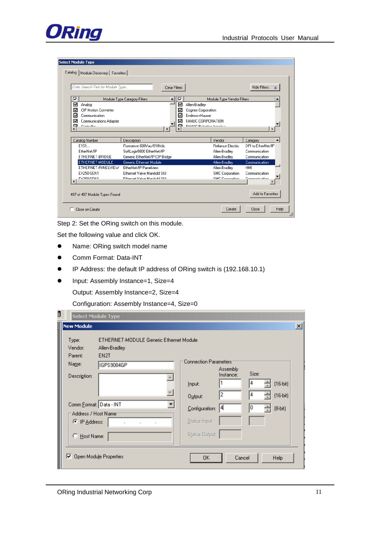

#### .<br>ielect Module Type

| ⊽<br>⊽<br>Module Type Category Filters<br>Module Type Vendor Filters<br>⊽<br>☑<br>Allen-Bradlev<br>Analog<br>⊽<br><b>CIP Motion Converter</b><br>Cognex Corporation<br>⊽<br>⊽<br>Endress+Hauser<br>Communication<br>罓<br>⊽<br>FANUC CORPORATION<br>Communications Adapter<br>☑ |                    |
|--------------------------------------------------------------------------------------------------------------------------------------------------------------------------------------------------------------------------------------------------------------------------------|--------------------|
|                                                                                                                                                                                                                                                                                |                    |
|                                                                                                                                                                                                                                                                                |                    |
|                                                                                                                                                                                                                                                                                |                    |
|                                                                                                                                                                                                                                                                                |                    |
|                                                                                                                                                                                                                                                                                |                    |
| <b>EAMLIC Robotion Amorion</b><br>м<br>Controllor<br>ы                                                                                                                                                                                                                         |                    |
|                                                                                                                                                                                                                                                                                |                    |
| Vendor<br>Catalog Number<br>Description                                                                                                                                                                                                                                        | Category           |
| F151<br>Flowserve 600Vac/810Vdc<br>Reliance Electric                                                                                                                                                                                                                           | DPI to EtherNet/IP |
| EtherNet/IP<br>SoftLogix5800 EtherNet/IP<br>Allen-Bradlev                                                                                                                                                                                                                      | Communication      |
| ETHERNET-BRIDGE<br>Generic EtherNet/IP CIP Bridge<br>Allen-Bradley                                                                                                                                                                                                             | Communication      |
| ETHERNET-MODULE<br>Generic Ethernet Module<br>Allen-Bradley                                                                                                                                                                                                                    | Communication      |
| ETHERNET-PANELVIEW<br>EtherNet/IP Panelview<br>Allen-Bradley                                                                                                                                                                                                                   | HMI                |
| EX250-SEN1<br>Ethernet Valve Manifold SILL<br><b>SMC</b> Corporation                                                                                                                                                                                                           | Communication      |
| EM2RO-SEN1<br>SMC Cornoration<br>Ethernet Valve Manifold SILL                                                                                                                                                                                                                  | Communication      |

Step 2: Set the ORing switch on this module.

Set the following value and click OK.

- Name: ORing switch model name
- Comm Format: Data-INT
- IP Address: the default IP address of ORing switch is (192.168.10.1)
- Input: Assembly Instance=1, Size=4

Output: Assembly Instance=2, Size=4

Configuration: Assembly Instance=4, Size=0

| D<br><b>Select Module Type</b>                                                                       |                                         |                                                    |                            |                 |                          |                 |
|------------------------------------------------------------------------------------------------------|-----------------------------------------|----------------------------------------------------|----------------------------|-----------------|--------------------------|-----------------|
| <b>New Module</b>                                                                                    |                                         |                                                    |                            |                 |                          | $\vert x \vert$ |
| Type:<br>Vendor:<br>Allen-Bradley<br>EN2T<br>Parent:<br>Na <u>m</u> e:<br>IGPS9084GP<br>Description: | ETHERNET-MODULE Generic Ethernet Module | <b>Connection Parameters:</b><br>Input:<br>Output: | Assembly<br>Instance:<br>2 | Size:<br>4<br>4 | $(16-bit)$<br>$(16-bit)$ |                 |
| Comm Format: Data - INT                                                                              |                                         | Configuration:                                     | 14                         | 0               | $(8-bit)$                |                 |
| Address / Host Name<br>C IP Address:<br>C Host Name:                                                 |                                         | Status Input:<br>Status Output:                    |                            |                 |                          |                 |
| Open Module Properties                                                                               |                                         | <b>OK</b>                                          | Cancel                     |                 | <b>Help</b>              |                 |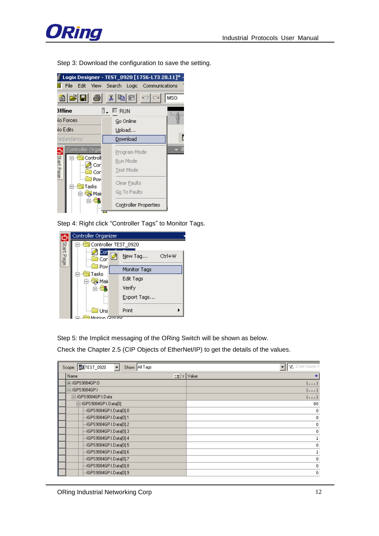

Step 3: Download the configuration to save the setting.



Step 4: Right click "Controller Tags" to Monitor Tags.

|            | Controller Organizer |                   |
|------------|----------------------|-------------------|
|            | Controller TEST_0920 |                   |
| Start Page | Cor<br>Corl          | Ctrl+W<br>New Tag |
|            | <b>Pow</b><br>Tasks  | Monitor Tags      |
|            | Mair<br>ن. ⊐         | Edit Tags         |
|            |                      | Verify            |
|            |                      | Export Tags       |
|            | Uns                  | Print             |
|            | Motion Groupe        |                   |

Step 5: the Implicit messaging of the ORing Switch will be shown as below.

Check the Chapter 2.5 (CIP Objects of EtherNet/IP) to get the details of the values.

| Scope: UTEST_0920<br>Show: All Tags<br>$\overline{\phantom{0}}$ | V Enter Name Fi |
|-----------------------------------------------------------------|-----------------|
| $\equiv$ $\mid \triangledown \mid$ Value<br>Name                | €               |
| 田-IGPS9084GP:0                                                  | $\{\ldots\}$    |
| □-IGPS9084GP:I                                                  | $\{\ldots\}$    |
| 白-IGPS9084GP:I.Data                                             | $\{\ldots\}$    |
| 白-IGPS9084GP:I.Data[0]                                          | 80              |
| -IGPS9084GP:I.Data[0].0                                         | 0               |
| -IGPS9084GP:I.Data[0].1                                         | 0               |
| -IGPS9084GP:I.Data[0].2                                         | 0               |
| -IGPS9084GP:I.Data[0].3                                         | 0               |
| -IGPS9084GP:I.Data[0].4                                         |                 |
| -IGPS9084GP:I.Data[0].5                                         | 0               |
| -IGPS9084GP:I.Data[0].6                                         |                 |
| -IGPS9084GP:I.Data[0].7                                         | 0               |
| -IGPS9084GP:I.Data[0].8                                         | 0               |
| 4GPS9084GP:I.Data[0].9                                          | $\mathbf 0$     |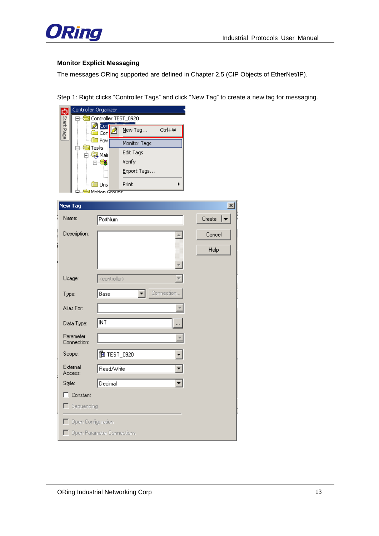

#### **Monitor Explicit Messaging**

The messages ORing supported are defined in Chapter 2.5 (CIP Objects of EtherNet/IP).

Step 1: Right clicks "Controller Tags" and click "New Tag" to create a new tag for messaging.



| <b>New Tag</b>           |                            | $\vert x \vert$    |  |  |  |  |  |
|--------------------------|----------------------------|--------------------|--|--|--|--|--|
| Name:                    | PortNum                    | Create $ \bullet $ |  |  |  |  |  |
| Description:             | A                          | Cancel             |  |  |  |  |  |
|                          |                            | Help               |  |  |  |  |  |
|                          |                            |                    |  |  |  |  |  |
| Usage:                   | <controller></controller>  |                    |  |  |  |  |  |
| Type:                    | Connection<br>Base         |                    |  |  |  |  |  |
| Alias For:               |                            |                    |  |  |  |  |  |
| Data Type:               | <b>INT</b>                 |                    |  |  |  |  |  |
| Parameter<br>Connection: |                            |                    |  |  |  |  |  |
| Scope:                   | <b>的</b> TEST_0920         |                    |  |  |  |  |  |
| External<br>Access:      | Read/Write                 |                    |  |  |  |  |  |
| Style:                   | Decimal                    |                    |  |  |  |  |  |
| $\Box$ Constant          |                            |                    |  |  |  |  |  |
| Sequencing               |                            |                    |  |  |  |  |  |
| Open Configuration       |                            |                    |  |  |  |  |  |
| г                        | Open Parameter Connections |                    |  |  |  |  |  |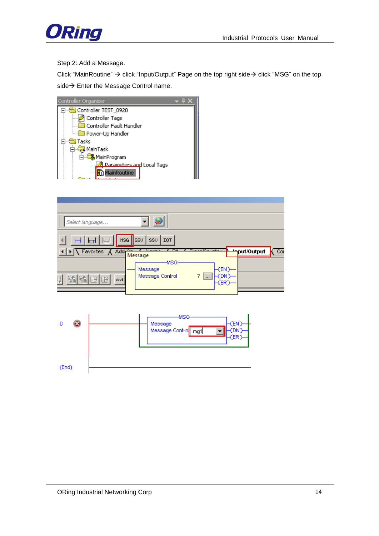

Step 2: Add a Message.

Click "MainRoutine"  $\rightarrow$  click "Input/Output" Page on the top right side  $\rightarrow$  click "MSG" on the top side  $\rightarrow$  Enter the Message Control name.



(End)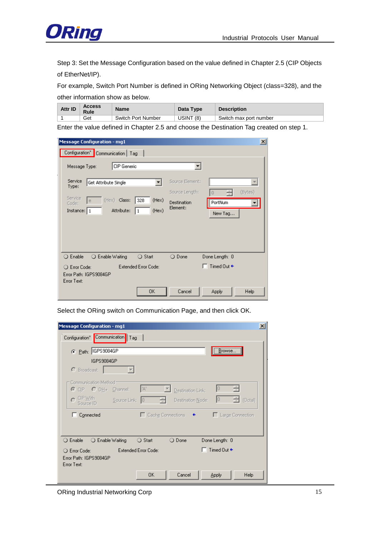

Step 3: Set the Message Configuration based on the value defined in Chapter 2.5 (CIP Objects of EtherNet/IP).

For example, Switch Port Number is defined in ORing Networking Object (class=328), and the other information show as below.

| Attr ID | <b>Access</b><br>Rule | Name               | Data Type | <b>Description</b>     |
|---------|-----------------------|--------------------|-----------|------------------------|
|         | Get                   | Switch Port Number | USINT (8) | Switch max port number |

Enter the value defined in Chapter 2.5 and choose the Destination Tag created on step 1.

| <b>Message Configuration - mg1</b>               | $\boldsymbol{\mathsf{x}}$           |
|--------------------------------------------------|-------------------------------------|
| Configuration <sup>*</sup> Communication   Tag   |                                     |
| CIP Generic<br>Message Type:                     |                                     |
| Service<br>Get Attribute Single<br>Type:         | Source Element:<br>v                |
| Service                                          | (Bytes)<br>Source Length:<br>$\cup$ |
| (Hex) Class:<br>(Hex)<br>328<br>e<br>Code:       | PortNum<br>Destination              |
| (Hex)<br>Attribute:<br>Instance:   1<br>1        | Element:<br>New Tag                 |
|                                                  |                                     |
| $\bigcirc$ Enable<br>○ Enable Waiting<br>○ Start | O Done<br>Done Length: 0            |
| Extended Error Code:<br>O Error Code:            | Timed Out ←                         |
| Error Path: IGPS9084GP<br>Error Text:            |                                     |
| <b>OK</b>                                        | Cancel<br>Help<br>Apply             |

Select the ORing switch on Communication Page, and then click OK.

| <b>Message Configuration - mg1</b><br>×                                                                                 |
|-------------------------------------------------------------------------------------------------------------------------|
| Configuration <sup>*</sup> Communication<br>Tag                                                                         |
| Browse<br>C Path: GPS9084GP                                                                                             |
| IGPS9084GP                                                                                                              |
| C Broadcast:                                                                                                            |
| Communication Method                                                                                                    |
| ¦'A'<br>10<br>슦<br>C CIP C DH+ Channel:<br>Destination Link:                                                            |
| $\mathsf{C}\ \mathsf{GIP}\ \mathsf{W}$ ith<br>$\frac{1}{\sqrt{2}}$ (Octal)<br>10<br>Source Link: 0<br>Destination Node: |
| □ Connected<br>□ Cache Connections<br>□ Large Connection<br>$\leftarrow$                                                |
|                                                                                                                         |
| O Done<br>$\bigcirc$ Enable<br>◯ Enable Waiting<br>○ Start<br>Done Length: 0                                            |
| Timed Dut $\div$<br><b>Extended Error Code:</b><br>C Error Code:                                                        |
| Error Path: IGPS9084GP<br>Error Text:                                                                                   |
| 0K<br>Cancel<br>Help<br>Apply                                                                                           |

ORing Industrial Networking Corp 15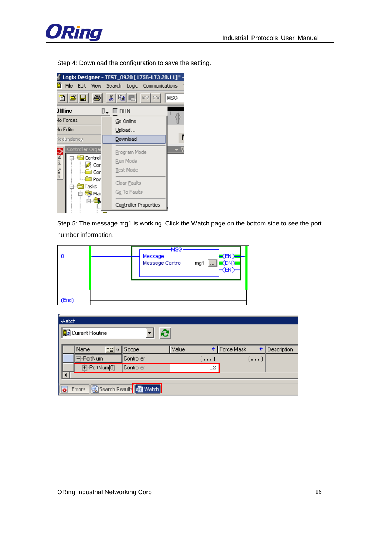

Step 4: Download the configuration to save the setting.



Step 5: The message mg1 is working. Click the Watch page on the bottom side to see the port number information.

| ΙO   | <b>MSG</b><br>Message<br>Message Control | EN"<br>mg1<br>$\cdots$ |
|------|------------------------------------------|------------------------|
| End) |                                          |                        |

|                             | $\parallel$ Watch    |          |     |                          |       |              |              |              |             |
|-----------------------------|----------------------|----------|-----|--------------------------|-------|--------------|--------------|--------------|-------------|
|                             | Current Routine<br>e |          |     |                          |       |              |              |              |             |
|                             |                      |          |     |                          |       |              |              |              |             |
|                             |                      | Name     | 드립고 | Scope                    | Value |              | ← Force Mask | ←            | Description |
|                             |                      | -PortNum |     | Controller               |       | $\{\ldots\}$ |              | $\{\ldots\}$ |             |
| 中-PortNum[0]。<br>Controller |                      |          |     | $12 \square$             |       |              |              |              |             |
|                             |                      |          |     |                          |       |              |              |              |             |
|                             | $\overline{\bullet}$ | Errors   |     | Search Results Hai Watch |       |              |              |              |             |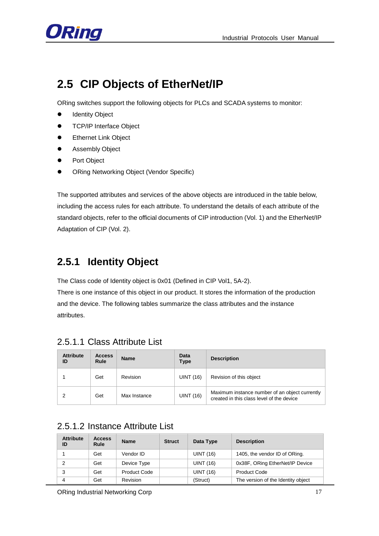

# <span id="page-17-0"></span>**2.5 CIP Objects of EtherNet/IP**

ORing switches support the following objects for PLCs and SCADA systems to monitor:

- $\bullet$  Identity Object
- **•** TCP/IP Interface Object
- **•** Ethernet Link Object
- **•** Assembly Object
- **•** Port Object
- ORing Networking Object (Vendor Specific)

The supported attributes and services of the above objects are introduced in the table below, including the access rules for each attribute. To understand the details of each attribute of the standard objects, refer to the official documents of CIP introduction (Vol. 1) and the EtherNet/IP Adaptation of CIP (Vol. 2).

## <span id="page-17-1"></span>**2.5.1 Identity Object**

The Class code of Identity object is 0x01 (Defined in CIP Vol1, 5A-2).

There is one instance of this object in our product. It stores the information of the production and the device. The following tables summarize the class attributes and the instance attributes.

| <b>Attribute</b><br>ID | <b>Access</b><br>Rule | <b>Name</b>  | Data<br><b>Type</b> | <b>Description</b>                                                                          |
|------------------------|-----------------------|--------------|---------------------|---------------------------------------------------------------------------------------------|
|                        | Get                   | Revision     | <b>UINT (16)</b>    | Revision of this object                                                                     |
| ົ                      | Get                   | Max Instance | UINT (16)           | Maximum instance number of an object currently<br>created in this class level of the device |

### <span id="page-17-2"></span>2.5.1.1 Class Attribute List

### <span id="page-17-3"></span>2.5.1.2 Instance Attribute List

| <b>Attribute</b><br>ID | <b>Access</b><br>Rule | <b>Name</b>  | <b>Struct</b> | Data Type        | <b>Description</b>                 |
|------------------------|-----------------------|--------------|---------------|------------------|------------------------------------|
|                        | Get                   | Vendor ID    |               | <b>UINT (16)</b> | 1405, the vendor ID of ORing.      |
| $\mathcal{P}$          | Get                   | Device Type  |               | <b>UINT (16)</b> | 0x38F, ORing EtherNet/IP Device    |
| 3                      | Get                   | Product Code |               | <b>UINT (16)</b> | <b>Product Code</b>                |
| 4                      | Get                   | Revision     |               | (Struct)         | The version of the Identity object |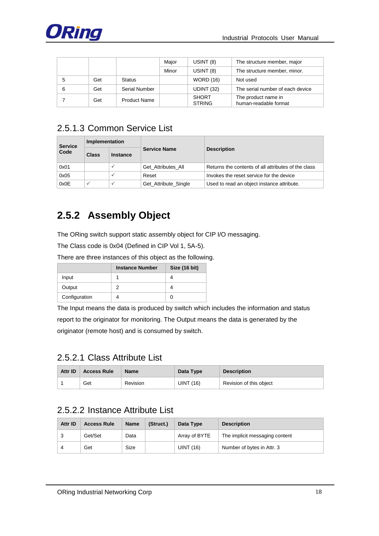

|   |     |                     | Major | USINT (8)                     | The structure member, major                  |
|---|-----|---------------------|-------|-------------------------------|----------------------------------------------|
|   |     |                     | Minor | USINT (8)                     | The structure member, minor.                 |
| 5 | Get | <b>Status</b>       |       | <b>WORD (16)</b>              | Not used                                     |
| 6 | Get | Serial Number       |       | UDINT (32)                    | The serial number of each device             |
|   | Get | <b>Product Name</b> |       | <b>SHORT</b><br><b>STRING</b> | The product name in<br>human-readable format |

### <span id="page-18-0"></span>2.5.1.3 Common Service List

| <b>Service</b> | Implementation |                 |                      |                                                     |  |
|----------------|----------------|-----------------|----------------------|-----------------------------------------------------|--|
| Code           | <b>Class</b>   | <b>Instance</b> | <b>Service Name</b>  | <b>Description</b>                                  |  |
| 0x01           |                |                 | Get Attributes All   | Returns the contents of all attributes of the class |  |
| 0x05           |                |                 | Reset                | Invokes the reset service for the device            |  |
| 0x0E           | $\checkmark$   |                 | Get_Attribute_Single | Used to read an object instance attribute.          |  |

# <span id="page-18-1"></span>**2.5.2 Assembly Object**

The ORing switch support static assembly object for CIP I/O messaging.

The Class code is 0x04 (Defined in CIP Vol 1, 5A-5).

There are three instances of this object as the following.

|               | <b>Instance Number</b> | Size (16 bit) |
|---------------|------------------------|---------------|
| Input         |                        |               |
| Output        |                        |               |
| Configuration |                        |               |

The Input means the data is produced by switch which includes the information and status report to the originator for monitoring. The Output means the data is generated by the originator (remote host) and is consumed by switch.

### <span id="page-18-2"></span>2.5.2.1 Class Attribute List

| Attr ID | <b>Access Rule</b> | <b>Name</b> | Data Type | <b>Description</b>      |
|---------|--------------------|-------------|-----------|-------------------------|
|         | Get                | Revision    | UINT (16) | Revision of this object |

### <span id="page-18-3"></span>2.5.2.2 Instance Attribute List

| Attr ID | <b>Access Rule</b> | <b>Name</b> | (Struct.) | Data Type     | <b>Description</b>             |
|---------|--------------------|-------------|-----------|---------------|--------------------------------|
| 3       | Get/Set            | Data        |           | Array of BYTE | The implicit messaging content |
|         | Get                | Size        |           | UINT (16)     | Number of bytes in Attr. 3     |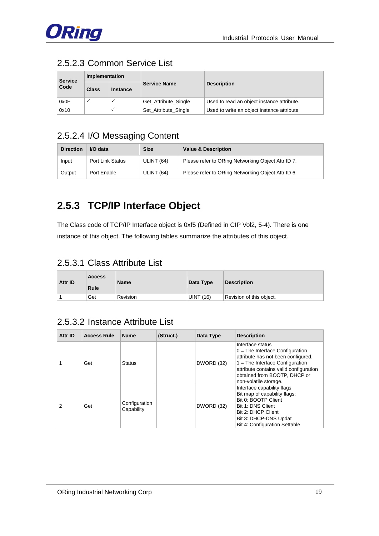

### <span id="page-19-0"></span>2.5.2.3 Common Service List

| Implementation<br><b>Service</b> |              |                 |                      |                                            |  |
|----------------------------------|--------------|-----------------|----------------------|--------------------------------------------|--|
| Code                             | <b>Class</b> | <b>Instance</b> | <b>Service Name</b>  | <b>Description</b>                         |  |
| 0x0E                             |              |                 | Get_Attribute_Single | Used to read an object instance attribute. |  |
| 0x10                             |              |                 | Set_Attribute_Single | Used to write an object instance attribute |  |

### <span id="page-19-1"></span>2.5.2.4 I/O Messaging Content

| <b>Direction</b> | I/O data         | <b>Size</b> | <b>Value &amp; Description</b>                     |
|------------------|------------------|-------------|----------------------------------------------------|
| Input            | Port Link Status | ULINT (64)  | Please refer to ORing Networking Object Attr ID 7. |
| Output           | Port Enable      | ULINT (64)  | Please refer to ORing Networking Object Attr ID 6. |

# <span id="page-19-2"></span>**2.5.3 TCP/IP Interface Object**

The Class code of TCP/IP Interface object is 0xf5 (Defined in CIP Vol2, 5-4). There is one instance of this object. The following tables summarize the attributes of this object.

### <span id="page-19-3"></span>2.5.3.1 Class Attribute List

| <b>Attr ID</b> | <b>Access</b> | <b>Name</b>     | Data Type        | <b>Description</b>       |
|----------------|---------------|-----------------|------------------|--------------------------|
|                | Rule          |                 |                  |                          |
|                | Get           | <b>Revision</b> | <b>UINT (16)</b> | Revision of this object. |

### <span id="page-19-4"></span>2.5.3.2 Instance Attribute List

| Attr ID | <b>Access Rule</b> | <b>Name</b>                 | (Struct.) | Data Type  | <b>Description</b>                                                                                                                                                                                                                  |
|---------|--------------------|-----------------------------|-----------|------------|-------------------------------------------------------------------------------------------------------------------------------------------------------------------------------------------------------------------------------------|
|         | Get                | <b>Status</b>               |           | DWORD (32) | Interface status<br>$0 =$ The Interface Configuration<br>attribute has not been configured.<br>$1 =$ The Interface Configuration<br>attribute contains valid configuration<br>obtained from BOOTP, DHCP or<br>non-volatile storage. |
| 2       | Get                | Configuration<br>Capability |           | DWORD (32) | Interface capability flags<br>Bit map of capability flags:<br>Bit 0: BOOTP Client<br>Bit 1: DNS Client<br>Bit 2: DHCP Client<br>Bit 3: DHCP-DNS Updat<br>Bit 4: Configuration Settable                                              |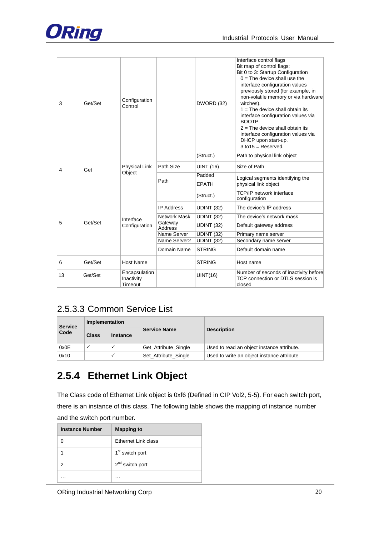

|    |         |                                        |                           |                        | Interface control flags<br>Bit map of control flags:<br>Bit 0 to 3: Startup Configuration<br>$0 =$ The device shall use the<br>interface configuration values<br>previously stored (for example, in                                                                |
|----|---------|----------------------------------------|---------------------------|------------------------|--------------------------------------------------------------------------------------------------------------------------------------------------------------------------------------------------------------------------------------------------------------------|
| 3  | Get/Set | Configuration<br>Control               |                           | DWORD (32)             | non-volatile memory or via hardware<br>witches).<br>$1 =$ The device shall obtain its<br>interface configuration values via<br>BOOTP.<br>$2 =$ The device shall obtain its<br>interface configuration values via<br>DHCP upon start-up.<br>$3$ to $15$ = Reserved. |
|    |         | Physical Link<br>Object                |                           | (Struct.)              | Path to physical link object                                                                                                                                                                                                                                       |
| 4  | Get     |                                        | Path Size                 | <b>UINT (16)</b>       | Size of Path                                                                                                                                                                                                                                                       |
|    |         |                                        | Path                      | Padded<br><b>EPATH</b> | Logical segments identifying the<br>physical link object                                                                                                                                                                                                           |
|    |         |                                        |                           | (Struct.)              | <b>TCP/IP</b> network interface<br>configuration                                                                                                                                                                                                                   |
|    |         |                                        | <b>IP Address</b>         | UDINT (32)             | The device's IP address                                                                                                                                                                                                                                            |
|    |         | Interface                              | Network Mask              | UDINT (32)             | The device's network mask                                                                                                                                                                                                                                          |
| 5  | Get/Set | Configuration                          | Gateway<br><b>Address</b> | <b>UDINT (32)</b>      | Default gateway address                                                                                                                                                                                                                                            |
|    |         |                                        | Name Server               | UDINT (32)             | Primary name server                                                                                                                                                                                                                                                |
|    |         |                                        | Name Server2              | <b>UDINT (32)</b>      | Secondary name server                                                                                                                                                                                                                                              |
|    |         |                                        | Domain Name               | <b>STRING</b>          | Default domain name                                                                                                                                                                                                                                                |
| 6  | Get/Set | <b>Host Name</b>                       |                           | <b>STRING</b>          | Host name                                                                                                                                                                                                                                                          |
| 13 | Get/Set | Encapsulation<br>Inactivity<br>Timeout |                           | UINT(16)               | Number of seconds of inactivity before<br>TCP connection or DTLS session is<br>closed                                                                                                                                                                              |

### <span id="page-20-0"></span>2.5.3.3 Common Service List

| <b>Service</b> | Implementation |                 |                      |                                            |  |
|----------------|----------------|-----------------|----------------------|--------------------------------------------|--|
| Code           | <b>Class</b>   | <b>Instance</b> | <b>Service Name</b>  | <b>Description</b>                         |  |
| 0x0E           |                |                 | Get Attribute Single | Used to read an object instance attribute. |  |
| 0x10           |                |                 | Set Attribute Single | Used to write an object instance attribute |  |

# <span id="page-20-1"></span>**2.5.4 Ethernet Link Object**

The Class code of Ethernet Link object is 0xf6 (Defined in CIP Vol2, 5-5). For each switch port, there is an instance of this class. The following table shows the mapping of instance number and the switch port number.

| <b>Instance Number</b> | <b>Mapping to</b>           |
|------------------------|-----------------------------|
|                        | Ethernet Link class         |
|                        | 1 <sup>st</sup> switch port |
|                        | $2nd$ switch port           |
|                        | .                           |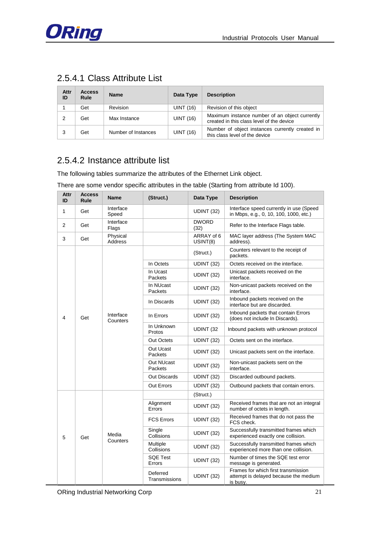

### <span id="page-21-0"></span>2.5.4.1 Class Attribute List

| Attr<br>ID | <b>Access</b><br>Rule | <b>Name</b>         | Data Type        | <b>Description</b>                                                                          |
|------------|-----------------------|---------------------|------------------|---------------------------------------------------------------------------------------------|
|            | Get                   | Revision            | UINT (16)        | Revision of this object                                                                     |
| 2          | Get                   | Max Instance        | UINT (16)        | Maximum instance number of an object currently<br>created in this class level of the device |
|            | Get                   | Number of Instances | <b>UINT (16)</b> | Number of object instances currently created in<br>this class level of the device           |

### <span id="page-21-1"></span>2.5.4.2 Instance attribute list

The following tables summarize the attributes of the Ethernet Link object.

There are some vendor specific attributes in the table (Starting from attribute Id 100).

| Attr<br>ID   | <b>Access</b><br>Rule | <b>Name</b>           | (Struct.)                 | Data Type              | <b>Description</b>                                                                       |
|--------------|-----------------------|-----------------------|---------------------------|------------------------|------------------------------------------------------------------------------------------|
| $\mathbf{1}$ | Get                   | Interface<br>Speed    |                           | <b>UDINT (32)</b>      | Interface speed currently in use (Speed<br>in Mbps, e.g., 0, 10, 100, 1000, etc.)        |
| 2            | Get                   | Interface<br>Flags    |                           | <b>DWORD</b><br>(32)   | Refer to the Interface Flags table.                                                      |
| 3            | Get                   | Physical<br>Address   |                           | ARRAY of 6<br>USINT(8) | MAC layer address (The System MAC<br>address).                                           |
|              |                       |                       |                           | (Struct.)              | Counters relevant to the receipt of<br>packets.                                          |
|              |                       |                       | In Octets                 | UDINT (32)             | Octets received on the interface.                                                        |
|              |                       |                       | In Ucast<br>Packets       | <b>UDINT (32)</b>      | Unicast packets received on the<br>interface.                                            |
|              |                       |                       | In NUcast<br>Packets      | <b>UDINT (32)</b>      | Non-unicast packets received on the<br>interface.                                        |
|              |                       |                       | In Discards               | UDINT (32)             | Inbound packets received on the<br>interface but are discarded.                          |
| 4            | Get                   | Interface<br>Counters | In Errors                 | UDINT (32)             | Inbound packets that contain Errors<br>(does not include In Discards).                   |
|              |                       |                       | In Unknown<br>Protos      | UDINT <sub>(32</sub>   | Inbound packets with unknown protocol                                                    |
|              |                       |                       | <b>Out Octets</b>         | UDINT (32)             | Octets sent on the interface.                                                            |
|              |                       |                       | Out Ucast<br>Packets      | UDINT (32)             | Unicast packets sent on the interface.                                                   |
|              |                       |                       | Out NUcast<br>Packets     | UDINT (32)             | Non-unicast packets sent on the<br>interface.                                            |
|              |                       |                       | <b>Out Discards</b>       | UDINT (32)             | Discarded outbound packets.                                                              |
|              |                       |                       | Out Errors                | UDINT (32)             | Outbound packets that contain errors.                                                    |
|              |                       | Media                 |                           | (Struct.)              |                                                                                          |
|              |                       |                       | Alignment<br>Errors       | UDINT (32)             | Received frames that are not an integral<br>number of octets in length.                  |
|              |                       |                       | <b>FCS Errors</b>         | <b>UDINT (32)</b>      | Received frames that do not pass the<br>FCS check.                                       |
| 5            | Get                   |                       | Single<br>Collisions      | UDINT (32)             | Successfully transmitted frames which<br>experienced exactly one collision.              |
|              |                       | Counters              | Multiple<br>Collisions    | UDINT (32)             | Successfully transmitted frames which<br>experienced more than one collision.            |
|              |                       |                       | <b>SQE Test</b><br>Errors | UDINT (32)             | Number of times the SQE test error<br>message is generated.                              |
|              |                       |                       | Deferred<br>Transmissions | UDINT (32)             | Frames for which first transmission<br>attempt is delayed because the medium<br>is busy. |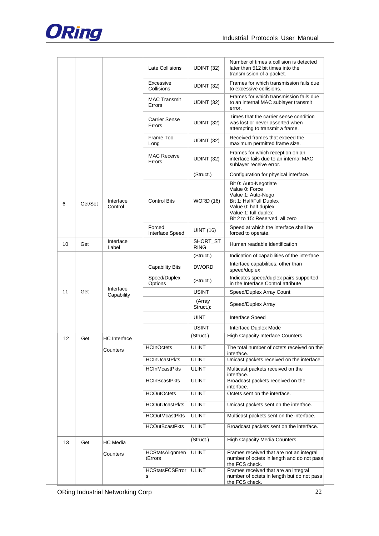

|    |         |                         | Late Collisions                | UDINT (32)              | Number of times a collision is detected<br>later than 512 bit times into the<br>transmission of a packet.                                                                   |
|----|---------|-------------------------|--------------------------------|-------------------------|-----------------------------------------------------------------------------------------------------------------------------------------------------------------------------|
|    |         |                         | Excessive<br>Collisions        | UDINT (32)              | Frames for which transmission fails due<br>to excessive collisions.                                                                                                         |
|    |         |                         | <b>MAC Transmit</b><br>Errors  | UDINT (32)              | Frames for which transmission fails due<br>to an internal MAC sublayer transmit<br>error.                                                                                   |
|    |         |                         | <b>Carrier Sense</b><br>Errors | UDINT (32)              | Times that the carrier sense condition<br>was lost or never asserted when<br>attempting to transmit a frame.                                                                |
|    |         |                         | Frame Too<br>Long              | UDINT (32)              | Received frames that exceed the<br>maximum permitted frame size.                                                                                                            |
|    |         |                         | <b>MAC Receive</b><br>Errors   | UDINT (32)              | Frames for which reception on an<br>interface fails due to an internal MAC<br>sublayer receive error.                                                                       |
|    |         |                         |                                | (Struct.)               | Configuration for physical interface.                                                                                                                                       |
| 6  | Get/Set | Interface<br>Control    | <b>Control Bits</b>            | <b>WORD (16)</b>        | Bit 0: Auto-Negotiate<br>Value 0: Force<br>Value 1: Auto-Nego<br>Bit 1: Half/Full Duplex<br>Value 0: half duplex<br>Value 1: full duplex<br>Bit 2 to 15: Reserved, all zero |
|    |         |                         | Forced<br>Interface Speed      | <b>UINT (16)</b>        | Speed at which the interface shall be<br>forced to operate.                                                                                                                 |
| 10 | Get     | Interface<br>Label      |                                | SHORT_ST<br><b>RING</b> | Human readable identification                                                                                                                                               |
|    |         |                         |                                | (Struct.)               | Indication of capabilities of the interface                                                                                                                                 |
|    |         |                         | <b>Capability Bits</b>         | <b>DWORD</b>            | Interface capabilities, other than<br>speed/duplex                                                                                                                          |
|    |         |                         | Speed/Duplex<br>Options        | (Struct.)               | Indicates speed/duplex pairs supported<br>in the Interface Control attribute                                                                                                |
| 11 | Get     | Interface<br>Capability |                                | <b>USINT</b>            | Speed/Duplex Array Count                                                                                                                                                    |
|    |         |                         |                                | (Array<br>Struct.):     | Speed/Duplex Array                                                                                                                                                          |
|    |         |                         |                                | <b>UINT</b>             | Interface Speed                                                                                                                                                             |
|    |         |                         |                                | <b>USINT</b>            | Interface Duplex Mode                                                                                                                                                       |
| 12 | Get     | HC Interface            |                                | (Struct.)               | High Capacity Interface Counters.                                                                                                                                           |
|    |         | Counters                | <b>HCInOctets</b>              | ULINT                   | The total number of octets received on the<br>interface.                                                                                                                    |
|    |         |                         | <b>HCInUcastPkts</b>           | <b>ULINT</b>            | Unicast packets received on the interface.                                                                                                                                  |
|    |         |                         | <b>HCInMcastPkts</b>           | <b>ULINT</b>            | Multicast packets received on the<br>interface.                                                                                                                             |
|    |         |                         | <b>HCInBcastPkts</b>           | <b>ULINT</b>            | Broadcast packets received on the<br>interface.                                                                                                                             |
|    |         |                         | <b>HCOutOctets</b>             | <b>ULINT</b>            | Octets sent on the interface.                                                                                                                                               |
|    |         |                         | <b>HCOutUcastPkts</b>          | <b>ULINT</b>            | Unicast packets sent on the interface.                                                                                                                                      |
|    |         |                         | <b>HCOutMcastPkts</b>          | <b>ULINT</b>            | Multicast packets sent on the interface.                                                                                                                                    |
|    |         |                         | <b>HCOutBcastPkts</b>          | <b>ULINT</b>            | Broadcast packets sent on the interface.                                                                                                                                    |
| 13 | Get     | HC Media                |                                | (Struct.)               | High Capacity Media Counters.                                                                                                                                               |
|    |         | Counters                | HCStatsAlignmen<br>tErrors     | <b>ULINT</b>            | Frames received that are not an integral<br>number of octets in length and do not pass<br>the FCS check.                                                                    |
|    |         |                         | <b>HCStatsFCSError</b><br>s    | <b>ULINT</b>            | Frames received that are an integral<br>number of octets in length but do not pass<br>the FCS check.                                                                        |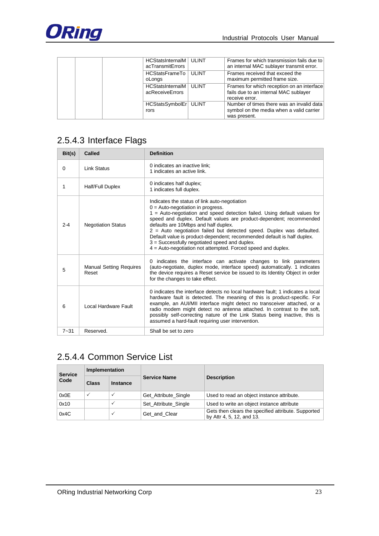

| HCStatsInternalM   ULINT<br>acTransmitErrors |       | Frames for which transmission fails due to<br>an internal MAC sublayer transmit error.                |
|----------------------------------------------|-------|-------------------------------------------------------------------------------------------------------|
| HCStatsFrameTo   ULINT<br>oLongs             |       | Frames received that exceed the<br>maximum permitted frame size.                                      |
| HCStatsInternalM<br>acReceiveErrors          | ULINT | Frames for which reception on an interface<br>fails due to an internal MAC sublayer<br>receive error. |
| HCStatsSymbolEr   ULINT<br>rors              |       | Number of times there was an invalid data<br>symbol on the media when a valid carrier<br>was present. |

## <span id="page-23-0"></span>2.5.4.3 Interface Flags

| Bit(s)   | Called                                  | <b>Definition</b>                                                                                                                                                                                                                                                                                                                                                                                                                                                                                                                                       |
|----------|-----------------------------------------|---------------------------------------------------------------------------------------------------------------------------------------------------------------------------------------------------------------------------------------------------------------------------------------------------------------------------------------------------------------------------------------------------------------------------------------------------------------------------------------------------------------------------------------------------------|
| 0        | Link Status                             | 0 indicates an inactive link:<br>1 indicates an active link.                                                                                                                                                                                                                                                                                                                                                                                                                                                                                            |
| 1        | Half/Full Duplex                        | 0 indicates half duplex;<br>1 indicates full duplex.                                                                                                                                                                                                                                                                                                                                                                                                                                                                                                    |
| $2 - 4$  | <b>Negotiation Status</b>               | Indicates the status of link auto-negotiation<br>$0 =$ Auto-negotiation in progress.<br>1 = Auto-negotiation and speed detection failed. Using default values for<br>speed and duplex. Default values are product-dependent; recommended<br>defaults are 10Mbps and half duplex.<br>2 = Auto negotiation failed but detected speed. Duplex was defaulted.<br>Default value is product-dependent; recommended default is half duplex.<br>3 = Successfully negotiated speed and duplex.<br>$4$ = Auto-negotiation not attempted. Forced speed and duplex. |
| 5        | <b>Manual Setting Requires</b><br>Reset | 0 indicates the interface can activate changes to link parameters<br>(auto-negotiate, duplex mode, interface speed) automatically. 1 indicates<br>the device requires a Reset service be issued to its Identity Object in order<br>for the changes to take effect.                                                                                                                                                                                                                                                                                      |
| 6        | Local Hardware Fault                    | 0 indicates the interface detects no local hardware fault: 1 indicates a local<br>hardware fault is detected. The meaning of this is product-specific. For<br>example, an AUI/MII interface might detect no transceiver attached, or a<br>radio modem might detect no antenna attached. In contrast to the soft,<br>possibly self-correcting nature of the Link Status being inactive, this is<br>assumed a hard-fault requiring user intervention.                                                                                                     |
| $7 - 31$ | Reserved.                               | Shall be set to zero                                                                                                                                                                                                                                                                                                                                                                                                                                                                                                                                    |

### <span id="page-23-1"></span>2.5.4.4 Common Service List

| <b>Service</b> | Implementation |                 |                      |                                                                                  |  |
|----------------|----------------|-----------------|----------------------|----------------------------------------------------------------------------------|--|
| Code           | <b>Class</b>   | <b>Instance</b> | <b>Service Name</b>  | <b>Description</b>                                                               |  |
| 0x0E           | $\checkmark$   |                 | Get Attribute Single | Used to read an object instance attribute.                                       |  |
| 0x10           |                |                 | Set Attribute Single | Used to write an object instance attribute                                       |  |
| 0x4C           |                | $\checkmark$    | Get and Clear        | Gets then clears the specified attribute. Supported<br>by Attr 4, 5, 12, and 13. |  |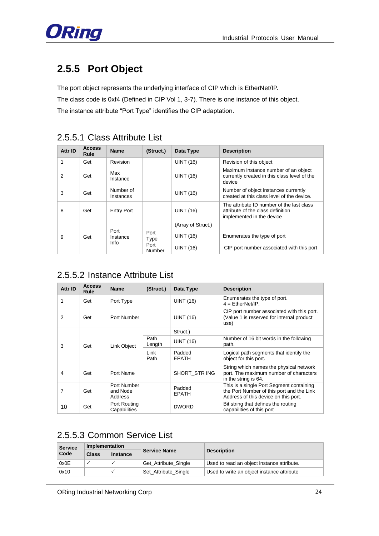

# <span id="page-24-0"></span>**2.5.5 Port Object**

The port object represents the underlying interface of CIP which is EtherNet/IP.

The class code is 0xf4 (Defined in CIP Vol 1, 3-7). There is one instance of this object. The instance attribute "Port Type" identifies the CIP adaptation.

<span id="page-24-1"></span>

| Attr ID  | <b>Access</b><br><b>Rule</b> | <b>Name</b>            | (Struct.)        | Data Type                                 | <b>Description</b>                                                                                          |
|----------|------------------------------|------------------------|------------------|-------------------------------------------|-------------------------------------------------------------------------------------------------------------|
| 1        | Get                          | Revision               |                  | <b>UINT (16)</b>                          | Revision of this object                                                                                     |
| 2        | Get                          | Max<br>Instance        |                  | <b>UINT (16)</b>                          | Maximum instance number of an object<br>currently created in this class level of the<br>device              |
| 3        | Get                          | Number of<br>Instances |                  | <b>UINT (16)</b>                          | Number of object instances currently<br>created at this class level of the device.                          |
| 8        | Get                          | <b>Entry Port</b>      |                  | <b>UINT (16)</b>                          | The attribute ID number of the last class<br>attribute of the class definition<br>implemented in the device |
|          |                              |                        |                  | (Array of Struct.)                        |                                                                                                             |
| 9<br>Get |                              | Port<br>Instance       | Port<br>Type     | <b>UINT (16)</b>                          | Enumerates the type of port                                                                                 |
|          | Info                         | Port<br>Number         | <b>UINT (16)</b> | CIP port number associated with this port |                                                                                                             |

### <span id="page-24-2"></span>2.5.5.2 Instance Attribute List

| Attr ID | <b>Access</b><br>Rule | <b>Name</b>                        | (Struct.)      | Data Type              | <b>Description</b>                                                                                                            |
|---------|-----------------------|------------------------------------|----------------|------------------------|-------------------------------------------------------------------------------------------------------------------------------|
| 1       | Get                   | Port Type                          |                | <b>UINT (16)</b>       | Enumerates the type of port.<br>$4 =$ EtherNet/IP.                                                                            |
| 2       | Get                   | Port Number                        |                | <b>UINT (16)</b>       | CIP port number associated with this port.<br>(Value 1 is reserved for internal product<br>use)                               |
|         |                       |                                    |                | Struct.)               |                                                                                                                               |
| 3       | Get                   | Link Object                        | Path<br>Length | <b>UINT (16)</b>       | Number of 16 bit words in the following<br>path.                                                                              |
|         |                       |                                    | Link<br>Path   | Padded<br><b>EPATH</b> | Logical path segments that identify the<br>object for this port.                                                              |
| 4       | Get                   | Port Name                          |                | SHORT STR ING          | String which names the physical network<br>port. The maximum number of characters<br>in the string is 64.                     |
| 7       | Get                   | Port Number<br>and Node<br>Address |                | Padded<br><b>EPATH</b> | This is a single Port Segment containing<br>the Port Number of this port and the Link<br>Address of this device on this port. |
| 10      | Get                   | Port Routing<br>Capabilities       |                | <b>DWORD</b>           | Bit string that defines the routing<br>capabilities of this port                                                              |

## <span id="page-24-3"></span>2.5.5.3 Common Service List

| <b>Service</b> | <b>Implementation</b> |                 |                      |                                            |  |
|----------------|-----------------------|-----------------|----------------------|--------------------------------------------|--|
| Code           | Class                 | <b>Instance</b> | <b>Service Name</b>  | <b>Description</b>                         |  |
| 0x0E           |                       |                 | Get_Attribute_Single | Used to read an object instance attribute. |  |
| 0x10           |                       |                 | Set Attribute Single | Used to write an object instance attribute |  |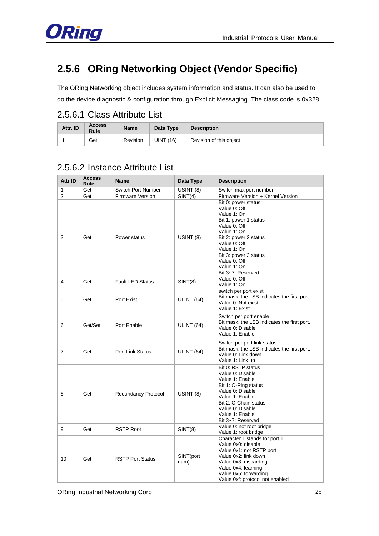

# <span id="page-25-0"></span>**2.5.6 ORing Networking Object (Vendor Specific)**

The ORing Networking object includes system information and status. It can also be used to do the device diagnostic & configuration through Explicit Messaging. The class code is 0x328.

### <span id="page-25-1"></span>2.5.6.1 Class Attribute List

| Attr. ID | <b>Access</b><br><b>Rule</b> | <b>Name</b> | Data Type | <b>Description</b>      |
|----------|------------------------------|-------------|-----------|-------------------------|
|          | Get                          | Revision    | UINT (16) | Revision of this object |

### <span id="page-25-2"></span>2.5.6.2 Instance Attribute List

| Attr ID        | <b>Access</b><br>Rule | <b>Name</b>                | Data Type         | <b>Description</b>                                                                                                                                                                                                                              |
|----------------|-----------------------|----------------------------|-------------------|-------------------------------------------------------------------------------------------------------------------------------------------------------------------------------------------------------------------------------------------------|
| $\mathbf{1}$   | Get                   | Switch Port Number         | USINT (8)         | Switch max port number                                                                                                                                                                                                                          |
| $\overline{2}$ | Get                   | <b>Firmware Version</b>    | SINT(4)           | Firmware Version + Kernel Version                                                                                                                                                                                                               |
| 3              | Get                   | Power status               | USINT (8)         | Bit 0: power status<br>Value 0: Off<br>Value 1: On<br>Bit 1: power 1 status<br>Value 0: Off<br>Value 1: On<br>Bit 2: power 2 status<br>Value 0: Off<br>Value 1: On<br>Bit 3: power 3 status<br>Value 0: Off<br>Value 1: On<br>Bit 3~7: Reserved |
| 4              | Get                   | <b>Fault LED Status</b>    | SINT(8)           | Value 0: Off<br>Value 1: On                                                                                                                                                                                                                     |
| 5              | Get                   | Port Exist                 | ULINT (64)        | switch per port exist<br>Bit mask, the LSB indicates the first port.<br>Value 0: Not exist<br>Value 1: Exist                                                                                                                                    |
| 6              | Get/Set               | Port Enable                | ULINT (64)        | Switch per port enable<br>Bit mask, the LSB indicates the first port.<br>Value 0: Disable<br>Value 1: Enable                                                                                                                                    |
| $\overline{7}$ | Get                   | <b>Port Link Status</b>    | ULINT (64)        | Switch per port link status<br>Bit mask, the LSB indicates the first port.<br>Value 0: Link down<br>Value 1: Link up                                                                                                                            |
| 8              | Get                   | <b>Redundancy Protocol</b> | USINT (8)         | Bit 0: RSTP status<br>Value 0: Disable<br>Value 1: Enable<br>Bit 1: O-Ring status<br>Value 0: Disable<br>Value 1: Enable<br>Bit 2: O-Chain status<br>Value 0: Disable<br>Value 1: Enable<br>Bit 3~7: Reserved                                   |
| 9              | Get                   | <b>RSTP Root</b>           | SINT(8)           | Value 0: not root bridge<br>Value 1: root bridge                                                                                                                                                                                                |
| 10             | Get                   | <b>RSTP Port Status</b>    | SINT(port<br>num) | Character 1 stands for port 1<br>Value 0x0: disable<br>Value 0x1: not RSTP port<br>Value 0x2: link down<br>Value 0x3: discarding<br>Value 0x4: learning<br>Value 0x5: forwarding<br>Value 0xf: protocol not enabled                             |